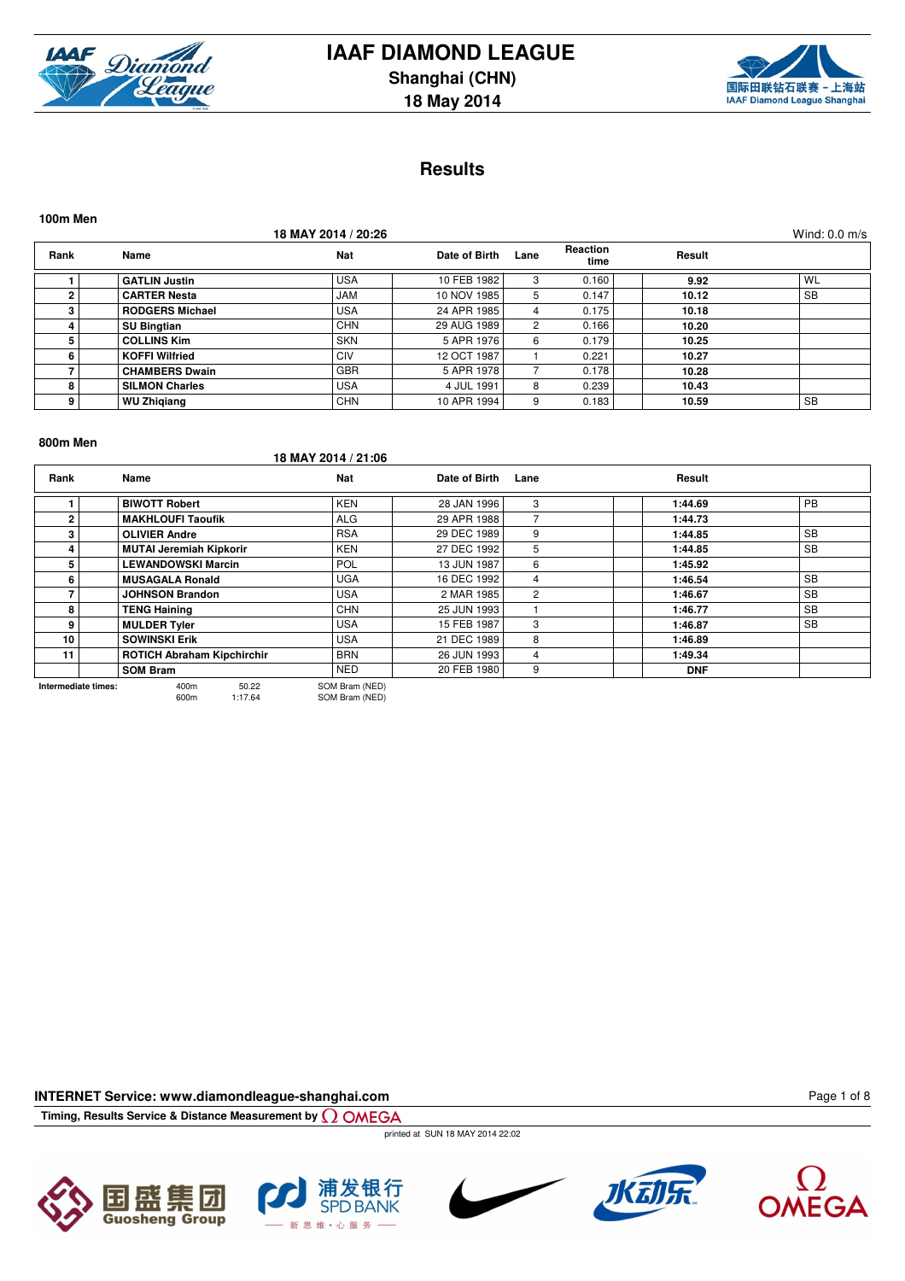



### **Results**

| 100m Men       |                        |                     |               |                      |                         |        |                 |
|----------------|------------------------|---------------------|---------------|----------------------|-------------------------|--------|-----------------|
|                |                        | 18 MAY 2014 / 20:26 |               |                      |                         |        | Wind: $0.0$ m/s |
| Rank           | Name                   | Nat                 | Date of Birth | Lane                 | <b>Reaction</b><br>time | Result |                 |
|                | <b>GATLIN Justin</b>   | <b>USA</b>          | 10 FEB 1982   | 3                    | 0.160                   | 9.92   | WL              |
| $\overline{2}$ | <b>CARTER Nesta</b>    | <b>JAM</b>          | 10 NOV 1985   | 5                    | 0.147                   | 10.12  | <b>SB</b>       |
| 3              | <b>RODGERS Michael</b> | <b>USA</b>          | 24 APR 1985   | 4                    | 0.175                   | 10.18  |                 |
|                | <b>SU Bingtian</b>     | <b>CHN</b>          | 29 AUG 1989   | $\mathbf{2}^{\circ}$ | 0.166                   | 10.20  |                 |
| 5              | <b>COLLINS Kim</b>     | <b>SKN</b>          | 5 APR 1976    | 6                    | 0.179                   | 10.25  |                 |
| 6              | <b>KOFFI Wilfried</b>  | CIV                 | 12 OCT 1987   |                      | 0.221                   | 10.27  |                 |
|                | <b>CHAMBERS Dwain</b>  | <b>GBR</b>          | 5 APR 1978    |                      | 0.178                   | 10.28  |                 |
| 8              | <b>SILMON Charles</b>  | <b>USA</b>          | 4 JUL 1991    | 8                    | 0.239                   | 10.43  |                 |
| 9              | <b>WU Zhigiang</b>     | <b>CHN</b>          | 10 APR 1994   | 9                    | 0.183                   | 10.59  | <b>SB</b>       |

#### **800m Men**

**18 MAY 2014 / 21:06**

| Rank            | Name                              | Nat            | Date of Birth | Lane | Result     |                     |  |  |  |  |  |  |  |  |  |  |
|-----------------|-----------------------------------|----------------|---------------|------|------------|---------------------|--|--|--|--|--|--|--|--|--|--|
|                 | <b>BIWOTT Robert</b>              | <b>KEN</b>     | 28 JAN 1996   | 3    | 1:44.69    | <b>PB</b>           |  |  |  |  |  |  |  |  |  |  |
| $\overline{2}$  | <b>MAKHLOUFI Taoufik</b>          | <b>ALG</b>     | 29 APR 1988   |      | 1:44.73    |                     |  |  |  |  |  |  |  |  |  |  |
| 3               | <b>OLIVIER Andre</b>              | <b>RSA</b>     | 29 DEC 1989   | 9    | 1:44.85    | <b>SB</b>           |  |  |  |  |  |  |  |  |  |  |
|                 | <b>MUTAI Jeremiah Kipkorir</b>    | <b>KEN</b>     | 27 DEC 1992   | 5    | 1:44.85    | <b>SB</b>           |  |  |  |  |  |  |  |  |  |  |
| 5.              | <b>LEWANDOWSKI Marcin</b>         | <b>POL</b>     | 13 JUN 1987   | 6    | 1:45.92    |                     |  |  |  |  |  |  |  |  |  |  |
| 6.              | <b>MUSAGALA Ronald</b>            | <b>UGA</b>     | 16 DEC 1992   | 4    | 1:46.54    | <b>SB</b>           |  |  |  |  |  |  |  |  |  |  |
|                 | <b>JOHNSON Brandon</b>            | <b>USA</b>     | 2 MAR 1985    | 2    | 1:46.67    | <b>SB</b>           |  |  |  |  |  |  |  |  |  |  |
| 8               | <b>TENG Haining</b>               | <b>CHN</b>     | 25 JUN 1993   |      | 1:46.77    | <b>SB</b>           |  |  |  |  |  |  |  |  |  |  |
| 9               | <b>MULDER Tyler</b>               | <b>USA</b>     | 15 FEB 1987   | 3    | 1:46.87    | <b>SB</b>           |  |  |  |  |  |  |  |  |  |  |
| 10 <sup>1</sup> | <b>SOWINSKI Erik</b>              | <b>USA</b>     | 21 DEC 1989   | 8    | 1:46.89    |                     |  |  |  |  |  |  |  |  |  |  |
| 11              | <b>ROTICH Abraham Kipchirchir</b> | <b>BRN</b>     | 26 JUN 1993   | 4    | 1:49.34    |                     |  |  |  |  |  |  |  |  |  |  |
|                 | <b>SOM Bram</b>                   | <b>NED</b>     | 20 FEB 1980   | 9    | <b>DNF</b> |                     |  |  |  |  |  |  |  |  |  |  |
|                 | 50.22<br>400m                     | SOM Bram (NED) |               |      |            | Intermediate times: |  |  |  |  |  |  |  |  |  |  |

600m 1:17.64 SOM Bram (NED)

**INTERNET Service: www.diamondleague-shanghai.com**

**Timing, Results Service & Distance Measurement by**

printed at SUN 18 MAY 2014 22:02











Page 1 of 8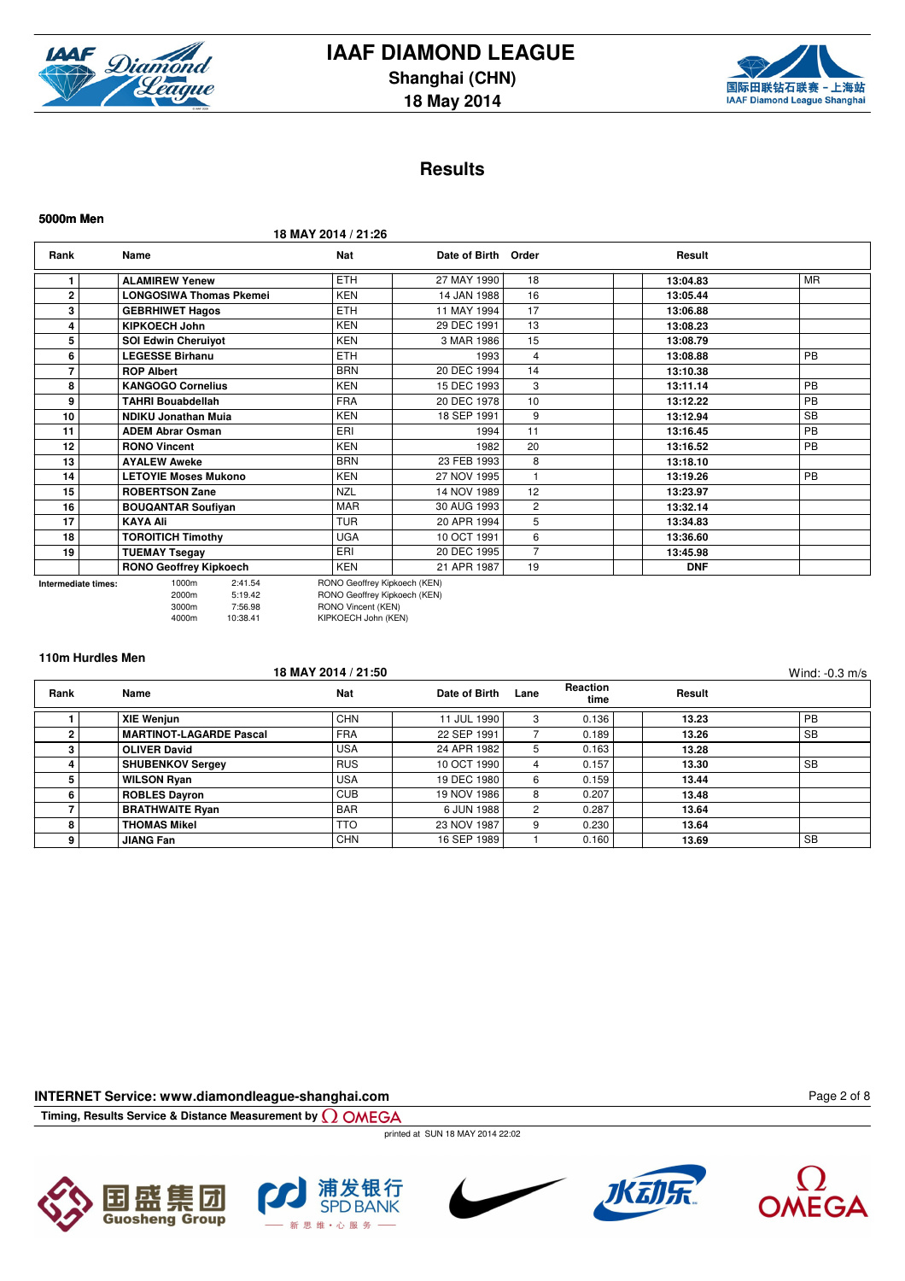



### **Results**

**5000m Men**

**18 MAY 2014 / 21:26**

| Rank         | Name                           | Nat        | Date of Birth Order |                | Result     |           |
|--------------|--------------------------------|------------|---------------------|----------------|------------|-----------|
|              | <b>ALAMIREW Yenew</b>          | <b>ETH</b> | 27 MAY 1990         | 18             | 13:04.83   | <b>MR</b> |
| $\mathbf{2}$ | <b>LONGOSIWA Thomas Pkemei</b> | <b>KEN</b> | 14 JAN 1988         | 16             | 13:05.44   |           |
| 3            | <b>GEBRHIWET Hagos</b>         | <b>ETH</b> | 11 MAY 1994         | 17             | 13:06.88   |           |
| 4            | <b>KIPKOECH John</b>           | <b>KEN</b> | 29 DEC 1991         | 13             | 13:08.23   |           |
| 5            | <b>SOI Edwin Cheruivot</b>     | <b>KEN</b> | 3 MAR 1986          | 15             | 13:08.79   |           |
| 6            | <b>LEGESSE Birhanu</b>         | <b>ETH</b> | 1993                | 4              | 13:08.88   | PB        |
|              | <b>ROP Albert</b>              | <b>BRN</b> | 20 DEC 1994         | 14             | 13:10.38   |           |
| 8            | <b>KANGOGO Cornelius</b>       | <b>KEN</b> | 15 DEC 1993         | 3              | 13:11.14   | <b>PB</b> |
| 9            | TAHRI Bouabdellah              | <b>FRA</b> | 20 DEC 1978         | 10             | 13:12.22   | <b>PB</b> |
| 10           | <b>NDIKU Jonathan Muja</b>     | <b>KEN</b> | 18 SEP 1991         | 9              | 13:12.94   | <b>SB</b> |
| 11           | <b>ADEM Abrar Osman</b>        | ERI        | 1994                | 11             | 13:16.45   | PB        |
| 12           | <b>RONO Vincent</b>            | <b>KEN</b> | 1982                | 20             | 13:16.52   | <b>PB</b> |
| 13           | <b>AYALEW Aweke</b>            | <b>BRN</b> | 23 FEB 1993         | 8              | 13:18.10   |           |
| 14           | <b>LETOYIE Moses Mukono</b>    | <b>KEN</b> | 27 NOV 1995         |                | 13:19.26   | PB        |
| 15           | <b>ROBERTSON Zane</b>          | <b>NZL</b> | 14 NOV 1989         | 12             | 13:23.97   |           |
| 16           | <b>BOUQANTAR Soufiyan</b>      | <b>MAR</b> | 30 AUG 1993         | $\overline{2}$ | 13:32.14   |           |
| 17           | <b>KAYA Ali</b>                | <b>TUR</b> | 20 APR 1994         | 5              | 13:34.83   |           |
| 18           | <b>TOROITICH Timothy</b>       | <b>UGA</b> | 10 OCT 1991         | 6              | 13:36.60   |           |
| 19           | <b>TUEMAY Tsegay</b>           | ERI        | 20 DEC 1995         | $\overline{7}$ | 13:45.98   |           |
|              | <b>RONO Geoffrey Kipkoech</b>  | <b>KEN</b> | 21 APR 1987         | 19             | <b>DNF</b> |           |

**Intermediate times:** 1000m 2:41.54 RONO Geoffrey Kipkoech (KEN) 2000m 5:19.42 RONO Geoffrey Kipkoech (KEN) 3000m 7:56.98 RONO Vincent (KEN)<br>4000m 10:38.41 KIPKOECH John (KEN) KIPKOECH John (KEN)

### **110m Hurdles Men**

|      |                                | 18 MAY 2014 / 21:50 |               |              |                  |        | Wind: $-0.3$ m/s |
|------|--------------------------------|---------------------|---------------|--------------|------------------|--------|------------------|
| Rank | Name                           | <b>Nat</b>          | Date of Birth | Lane         | Reaction<br>time | Result |                  |
|      | <b>XIE Wenjun</b>              | <b>CHN</b>          | 11 JUL 1990   | 3            | 0.136            | 13.23  | PB               |
|      | <b>MARTINOT-LAGARDE Pascal</b> | <b>FRA</b>          | 22 SEP 1991   |              | 0.189            | 13.26  | <b>SB</b>        |
|      | <b>OLIVER David</b>            | <b>USA</b>          | 24 APR 1982   | 5            | 0.163            | 13.28  |                  |
|      | <b>SHUBENKOV Sergey</b>        | <b>RUS</b>          | 10 OCT 1990   | 4            | 0.157            | 13.30  | <b>SB</b>        |
|      | <b>WILSON Ryan</b>             | <b>USA</b>          | 19 DEC 1980   | 6            | 0.159            | 13.44  |                  |
|      | <b>ROBLES Dayron</b>           | <b>CUB</b>          | 19 NOV 1986   | 8            | 0.207            | 13.48  |                  |
|      | <b>BRATHWAITE Ryan</b>         | <b>BAR</b>          | 6 JUN 1988    | $\mathbf{2}$ | 0.287            | 13.64  |                  |
|      | <b>THOMAS Mikel</b>            | <b>TTO</b>          | 23 NOV 1987   | 9            | 0.230            | 13.64  |                  |
|      | <b>JIANG Fan</b>               | <b>CHN</b>          | 16 SEP 1989   |              | 0.160            | 13.69  | <b>SB</b>        |

**INTERNET Service: www.diamondleague-shanghai.com**

**Timing, Results Service & Distance Measurement by**

printed at SUN 18 MAY 2014 22:02









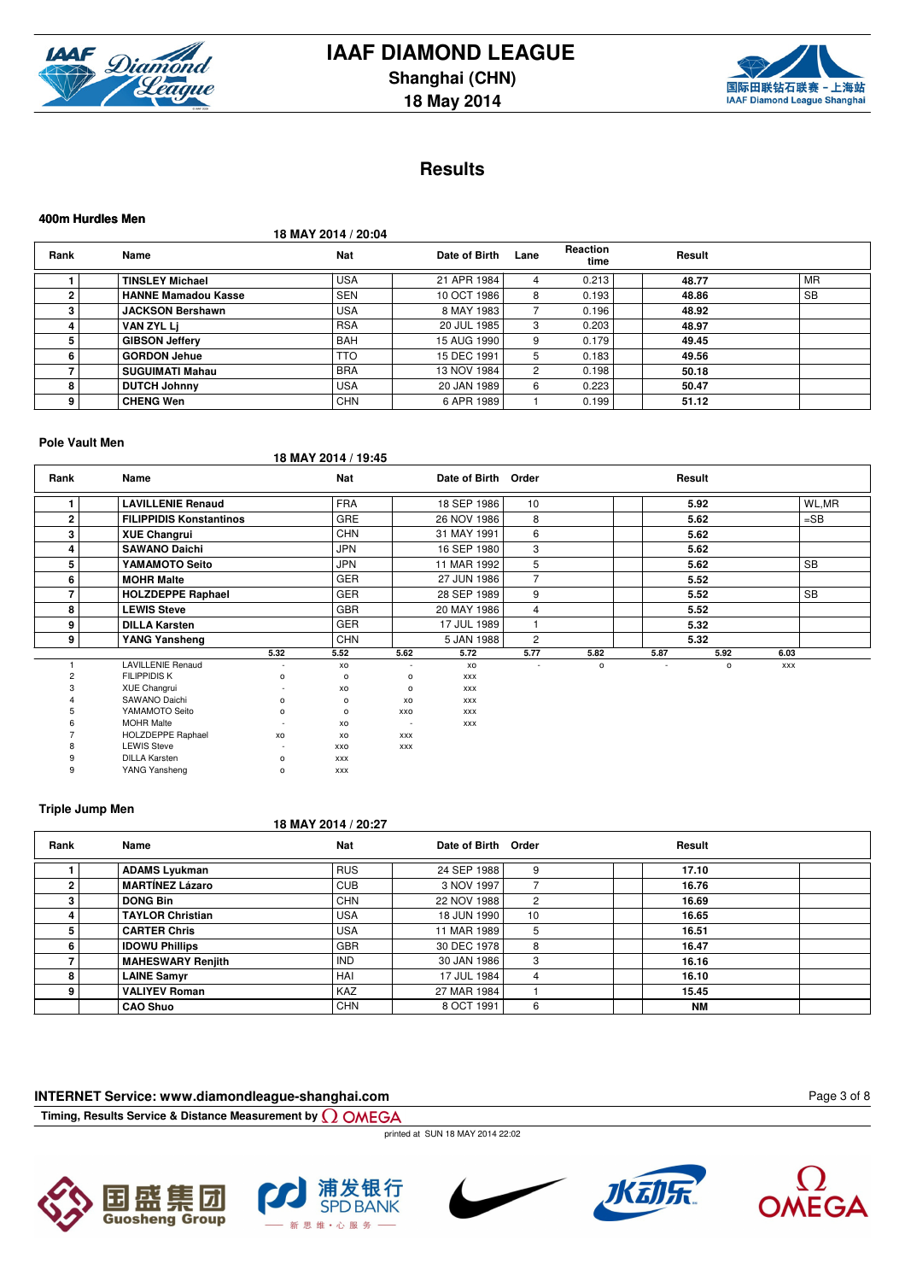



### **Results**

#### **18 MAY 2014 / 20:04 Rank Name Nat Date of Birth Lane Reaction time Result 1 TINSLEY Michael** USA 21 APR 1984 4 0.213 **48.77** MR **2 HANNE Mamadou Kasse 5 3.868.86** SEN 10 OCT 1986 8 **3 JACKSON Bershawn** USA 8 MAY 1983 7 0.196 **48.92 4 VAN ZYL Lj** RSA 20 JUL 1985 3 0.203 **48.97 5 GIBSON Jeffery** BAH 15 AUG 1990 9 0.179 **49.45 6 GORDON Jehue** TTO 15 DEC 1991 5 0.183 **49.56 7 SUGUIMATI Mahau** BRA 13 NOV 1984 2 0.198 **50.18 8 DUTCH Johnny** USA 20 JAN 1989 6 0.223 **50.47 9 CHENG Wen** CHN 6 APR 1989 1 0.199 **51.12**

#### **Pole Vault Men**

**400m Hurdles Men**

**18 MAY 2014 / 19:45**

| Rank         | Name                           |                | <b>Nat</b>     |            | Date of Birth Order |                 |              |      | Result       |            |           |
|--------------|--------------------------------|----------------|----------------|------------|---------------------|-----------------|--------------|------|--------------|------------|-----------|
|              | <b>LAVILLENIE Renaud</b>       |                | <b>FRA</b>     |            | 18 SEP 1986         | 10 <sup>1</sup> |              |      | 5.92         |            | WL,MR     |
| $\mathbf{2}$ | <b>FILIPPIDIS Konstantinos</b> |                | <b>GRE</b>     |            | 26 NOV 1986         | 8               |              |      | 5.62         |            | $=$ SB    |
| 3            | <b>XUE Changrui</b>            |                | <b>CHN</b>     |            | 31 MAY 1991         | 6               |              |      | 5.62         |            |           |
| 4            | <b>SAWANO Daichi</b>           |                | <b>JPN</b>     |            | 16 SEP 1980         | 3               |              |      | 5.62         |            |           |
| 5            | YAMAMOTO Seito                 |                | <b>JPN</b>     |            | 11 MAR 1992         | 5               |              |      | 5.62         |            | <b>SB</b> |
| 6            | <b>MOHR Malte</b>              |                | <b>GER</b>     |            | 27 JUN 1986         | $\overline{7}$  |              |      | 5.52         |            |           |
|              | <b>HOLZDEPPE Raphael</b>       |                | <b>GER</b>     |            | 28 SEP 1989         | 9               |              |      | 5.52         |            | <b>SB</b> |
| 8            | <b>LEWIS Steve</b>             |                | <b>GBR</b>     |            | 20 MAY 1986         | $\overline{4}$  |              |      | 5.52         |            |           |
| 9            | <b>DILLA Karsten</b>           |                | <b>GER</b>     |            | 17 JUL 1989         | 1               |              |      | 5.32         |            |           |
| 9            | YANG Yansheng                  |                | <b>CHN</b>     |            | 5 JAN 1988          | $\overline{2}$  |              |      | 5.32         |            |           |
|              |                                | 5.32           | 5.52           | 5.62       | 5.72                | 5.77            | 5.82         | 5.87 | 5.92         | 6.03       |           |
|              | <b>LAVILLENIE Renaud</b>       | ٠              | xo             |            | XO                  |                 | $\mathsf{o}$ | ٠    | $\mathsf{o}$ | <b>XXX</b> |           |
|              | <b>FILIPPIDIS K</b>            | $\circ$        | $\circ$        | $\circ$    | <b>XXX</b>          |                 |              |      |              |            |           |
|              | XUE Changrui                   | ٠              | XO             | $\circ$    | <b>XXX</b>          |                 |              |      |              |            |           |
|              | SAWANO Daichi                  | $\mathsf{o}\,$ | $\mathsf{o}\,$ | XO         | <b>XXX</b>          |                 |              |      |              |            |           |
|              | YAMAMOTO Seito                 | $\circ$        | $\circ$        | XXO        | <b>XXX</b>          |                 |              |      |              |            |           |
|              | <b>MOHR Malte</b>              | ٠              | XO             | $\sim$     | <b>XXX</b>          |                 |              |      |              |            |           |
|              | <b>HOLZDEPPE Raphael</b>       | xo             | XO             | <b>XXX</b> |                     |                 |              |      |              |            |           |
|              | <b>LEWIS Steve</b>             | ٠              | XXO            | XXX        |                     |                 |              |      |              |            |           |
|              | <b>DILLA Karsten</b>           | o              | <b>XXX</b>     |            |                     |                 |              |      |              |            |           |
| 9            | YANG Yansheng                  | $\circ$        | XXX            |            |                     |                 |              |      |              |            |           |

#### **Triple Jump Men**

#### **18 MAY 2014 / 20:27**

| Rank | Name                     | Nat        | Date of Birth Order |    | Result |  |
|------|--------------------------|------------|---------------------|----|--------|--|
|      | <b>ADAMS Lyukman</b>     | <b>RUS</b> | 24 SEP 1988         |    | 17.10  |  |
|      | <b>MARTÍNEZ Lázaro</b>   | CUB        | 3 NOV 1997          |    | 16.76  |  |
|      | <b>DONG Bin</b>          | <b>CHN</b> | 22 NOV 1988         | 2  | 16.69  |  |
|      | <b>TAYLOR Christian</b>  | <b>USA</b> | 18 JUN 1990         | 10 | 16.65  |  |
|      | <b>CARTER Chris</b>      | <b>USA</b> | 11 MAR 1989         | 5  | 16.51  |  |
| 6.   | <b>IDOWU Phillips</b>    | <b>GBR</b> | 30 DEC 1978         | 8  | 16.47  |  |
|      | <b>MAHESWARY Renjith</b> | <b>IND</b> | 30 JAN 1986         | 3  | 16.16  |  |
|      | <b>LAINE Samyr</b>       | HAI        | 17 JUL 1984         | 4  | 16.10  |  |
| ۵    | <b>VALIYEV Roman</b>     | <b>KAZ</b> | 27 MAR 1984         |    | 15.45  |  |
|      | <b>CAO Shuo</b>          | <b>CHN</b> | 8 OCT 1991          | 6  | NM     |  |

### **INTERNET Service: www.diamondleague-shanghai.com**

**Timing, Results Service & Distance Measurement by**

printed at SUN 18 MAY 2014 22:02











Page 3 of 8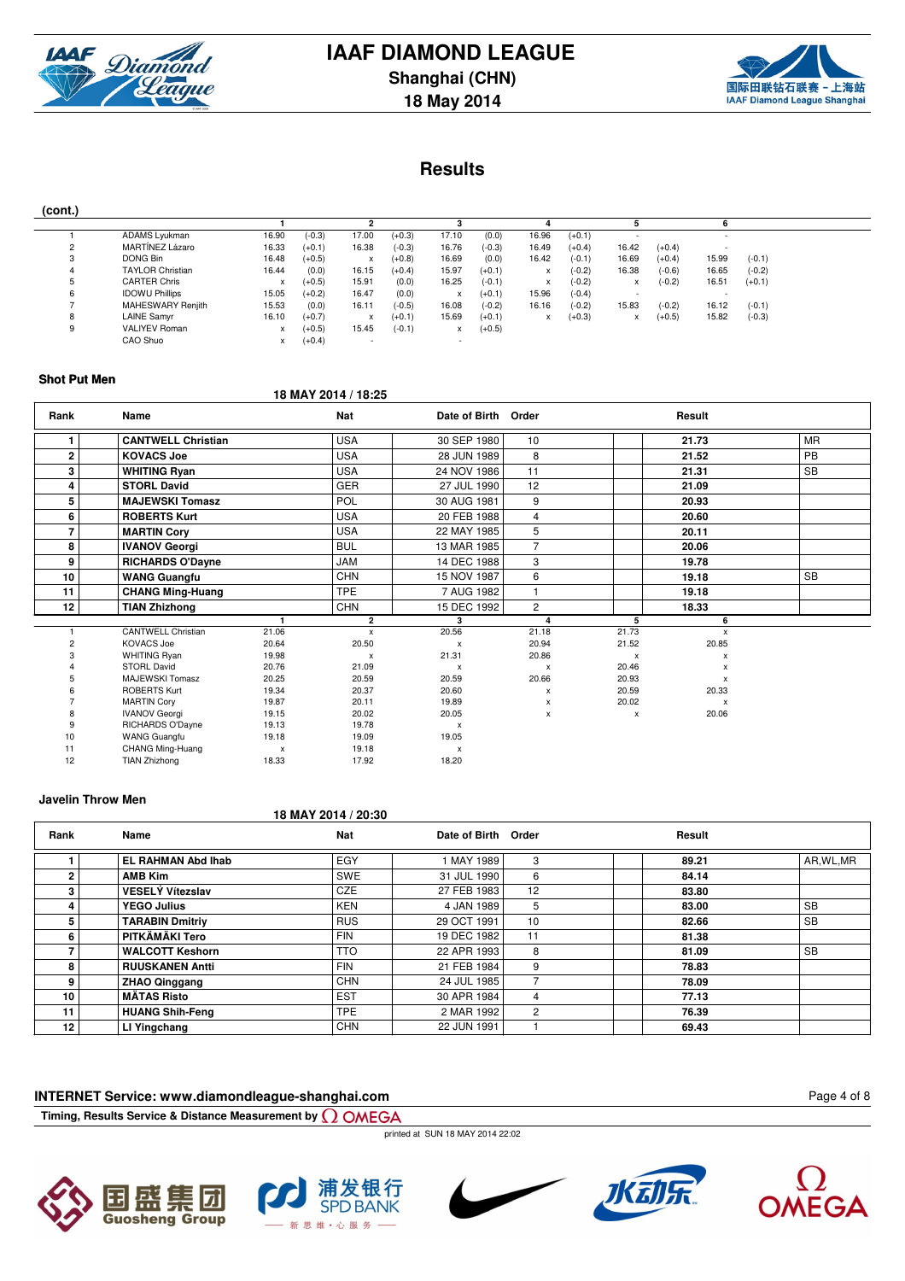



### **Results**

| (cont.) |                         |           |          |       |          |       |          |       |          |       |          |       |          |
|---------|-------------------------|-----------|----------|-------|----------|-------|----------|-------|----------|-------|----------|-------|----------|
|         |                         |           |          |       |          |       |          |       |          |       |          |       |          |
|         | ADAMS Lyukman           | 16.90     | $(-0.3)$ | 17.00 | $(+0.3)$ | 17.10 | (0.0)    | 16.96 | $(+0.1)$ |       |          |       |          |
|         | MARTÍNEZ Lázaro         | 16.33     | $(+0.1)$ | 16.38 | $(-0.3)$ | 16.76 | $(-0.3)$ | 16.49 | $(+0.4)$ | 16.42 | $(+0.4)$ |       |          |
| 3       | DONG Bin                | 16.48     | $(+0.5)$ | x     | $(+0.8)$ | 16.69 | (0.0)    | 16.42 | $(-0.1)$ | 16.69 | $(+0.4)$ | 15.99 | $(-0.1)$ |
|         | <b>TAYLOR Christian</b> | 16.44     | (0.0)    | 16.15 | $(+0.4)$ | 15.97 | $(+0.1)$ | x     | $(-0.2)$ | 16.38 | $(-0.6)$ | 16.65 | $(-0.2)$ |
|         | <b>CARTER Chris</b>     |           | $(+0.5)$ | 15.91 | (0.0)    | 16.25 | $(-0.1)$ | x     | $(-0.2)$ | x     | $(-0.2)$ | 16.51 | $(+0.1)$ |
| 6       | <b>IDOWU Phillips</b>   | 15.05     | $(+0.2)$ | 16.47 | (0.0)    | x     | $(+0.1)$ | 15.96 | $(-0.4)$ |       |          |       |          |
|         | MAHESWARY Renjith       | 15.53     | (0.0)    | 16.11 | $(-0.5)$ | 16.08 | $(-0.2)$ | 16.16 | $(-0.2)$ | 15.83 | $(-0.2)$ | 16.12 | $(-0.1)$ |
|         | <b>LAINE Samyr</b>      | 16.10     | $(+0.7)$ | x     | $(+0.1)$ | 15.69 | $(+0.1)$ | X     | $(+0.3)$ | x     | $(+0.5)$ | 15.82 | $(-0.3)$ |
| g       | <b>VALIYEV Roman</b>    |           | $(+0.5)$ | 15.45 | $(-0.1)$ |       | $(+0.5)$ |       |          |       |          |       |          |
|         | CAO Shuo                | $\lambda$ | $(+0.4)$ |       |          |       |          |       |          |       |          |       |          |

#### **Shot Put Men**

### **18 MAY 2014 / 18:25**

| Rank           | Name                      |                | <b>Nat</b>   | Date of Birth Order |                           |              | Result                    |           |
|----------------|---------------------------|----------------|--------------|---------------------|---------------------------|--------------|---------------------------|-----------|
| 1              | <b>CANTWELL Christian</b> |                | <b>USA</b>   | 30 SEP 1980         | 10                        |              | 21.73                     | <b>MR</b> |
| $\mathbf 2$    | <b>KOVACS Joe</b>         |                | <b>USA</b>   | 28 JUN 1989         | 8                         |              | 21.52                     | <b>PB</b> |
| 3              | <b>WHITING Ryan</b>       |                | <b>USA</b>   | 24 NOV 1986         | 11                        |              | 21.31                     | <b>SB</b> |
| 4              | <b>STORL David</b>        |                | <b>GER</b>   | 27 JUL 1990         | 12                        |              | 21.09                     |           |
| 5              | <b>MAJEWSKI Tomasz</b>    |                | <b>POL</b>   | 30 AUG 1981         | 9                         |              | 20.93                     |           |
| 6              | <b>ROBERTS Kurt</b>       |                | <b>USA</b>   | 20 FEB 1988         | 4                         |              | 20.60                     |           |
| $\overline{7}$ | <b>MARTIN Cory</b>        |                | <b>USA</b>   | 22 MAY 1985         | 5                         |              | 20.11                     |           |
| 8              | <b>IVANOV Georgi</b>      |                | <b>BUL</b>   | 13 MAR 1985         | $\overline{7}$            |              | 20.06                     |           |
| 9              | <b>RICHARDS O'Dayne</b>   |                | JAM          | 14 DEC 1988         | 3                         |              | 19.78                     |           |
| 10             | <b>WANG Guangfu</b>       |                | <b>CHN</b>   | 15 NOV 1987         | 6                         |              | 19.18                     | <b>SB</b> |
| 11             | <b>CHANG Ming-Huang</b>   |                | <b>TPE</b>   | 7 AUG 1982          | $\overline{1}$            |              | 19.18                     |           |
| 12             | <b>TIAN Zhizhong</b>      |                | <b>CHN</b>   | 15 DEC 1992         | 2                         |              | 18.33                     |           |
|                |                           |                | $\mathbf{2}$ | 3                   | 4                         | 5            | 6                         |           |
|                | <b>CANTWELL Christian</b> | 21.06          | x            | 20.56               | 21.18                     | 21.73        | $\boldsymbol{\mathsf{x}}$ |           |
| 2              | <b>KOVACS Joe</b>         | 20.64          | 20.50        | $\mathsf{x}$        | 20.94                     | 21.52        | 20.85                     |           |
|                | <b>WHITING Ryan</b>       | 19.98          | $\mathsf{x}$ | 21.31               | 20.86                     | $\mathsf{x}$ | X                         |           |
|                | <b>STORL David</b>        | 20.76          | 21.09        | x                   | $\boldsymbol{\mathsf{x}}$ | 20.46        | $\boldsymbol{\mathsf{x}}$ |           |
|                | <b>MAJEWSKI Tomasz</b>    | 20.25          | 20.59        | 20.59               | 20.66                     | 20.93        | $\boldsymbol{\mathsf{x}}$ |           |
|                | <b>ROBERTS Kurt</b>       | 19.34          | 20.37        | 20.60               | X                         | 20.59        | 20.33                     |           |
|                | <b>MARTIN Corv</b>        | 19.87          | 20.11        | 19.89               | $\mathsf{x}$              | 20.02        | $\mathsf{x}$              |           |
|                | <b>IVANOV Georgi</b>      | 19.15          | 20.02        | 20.05               | x                         | $\mathsf{x}$ | 20.06                     |           |
| g              | RICHARDS O'Dayne          | 19.13          | 19.78        | $\mathsf{x}$        |                           |              |                           |           |
| 10             | <b>WANG Guangfu</b>       | 19.18          | 19.09        | 19.05               |                           |              |                           |           |
| 11             | CHANG Ming-Huang          | $\pmb{\times}$ | 19.18        | x                   |                           |              |                           |           |
| 12             | <b>TIAN Zhizhong</b>      | 18.33          | 17.92        | 18.20               |                           |              |                           |           |

#### **Javelin Throw Men**

**18 MAY 2014 / 20:30**

| Rank | Name                      | Nat        | Date of Birth Order |    | Result |            |
|------|---------------------------|------------|---------------------|----|--------|------------|
|      | <b>EL RAHMAN Abd Ihab</b> | EGY        | 1 MAY 1989          | 3  | 89.21  | AR, WL, MR |
|      | <b>AMB Kim</b>            | <b>SWE</b> | 31 JUL 1990         | 6  | 84.14  |            |
| 3    | <b>VESELÝ Vítezslav</b>   | <b>CZE</b> | 27 FEB 1983         | 12 | 83.80  |            |
|      | <b>YEGO Julius</b>        | KEN        | 4 JAN 1989          | 5  | 83.00  | <b>SB</b>  |
| 5.   | <b>TARABIN Dmitriy</b>    | <b>RUS</b> | 29 OCT 1991         | 10 | 82.66  | <b>SB</b>  |
| 6.   | PITKÄMÄKI Tero            | <b>FIN</b> | 19 DEC 1982         | 11 | 81.38  |            |
|      | <b>WALCOTT Keshorn</b>    | <b>TTO</b> | 22 APR 1993         | 8  | 81.09  | <b>SB</b>  |
| 8    | <b>RUUSKANEN Antti</b>    | <b>FIN</b> | 21 FEB 1984         | 9  | 78.83  |            |
| 9    | <b>ZHAO Qinggang</b>      | <b>CHN</b> | 24 JUL 1985         |    | 78.09  |            |
| 10   | <b>MÄTAS Risto</b>        | <b>EST</b> | 30 APR 1984         | 4  | 77.13  |            |
| 11   | <b>HUANG Shih-Feng</b>    | <b>TPE</b> | 2 MAR 1992          | 2  | 76.39  |            |
| 12   | LI Yingchang              | <b>CHN</b> | 22 JUN 1991         |    | 69.43  |            |

### **INTERNET Service: www.diamondleague-shanghai.com**

**Timing, Results Service & Distance Measurement by**

printed at SUN 18 MAY 2014 22:02











**MEGA**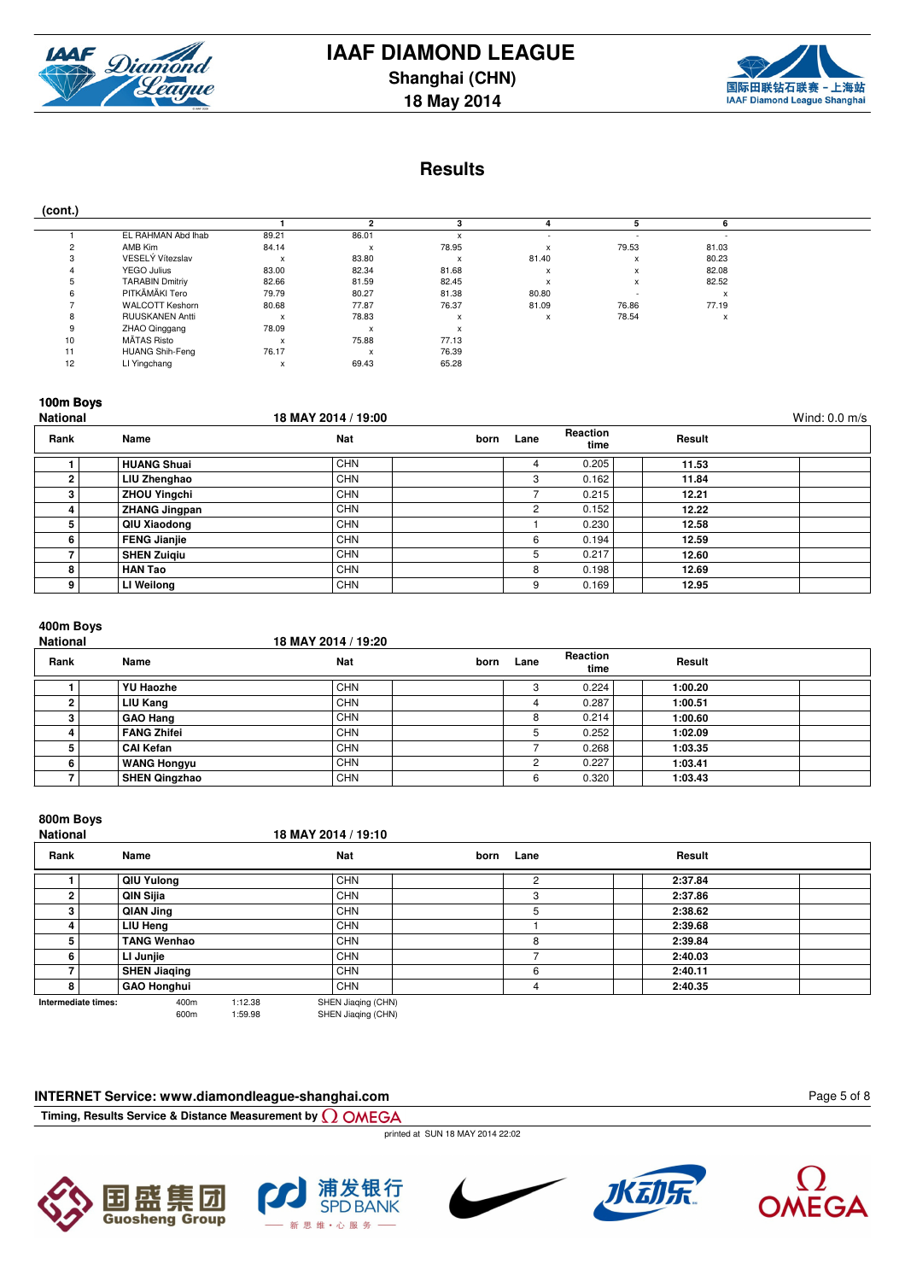

**18 May 2014**



### **Results**

|--|

| $\cdot$<br>. . |                        |              |       |                                      |              |                           |       |
|----------------|------------------------|--------------|-------|--------------------------------------|--------------|---------------------------|-------|
|                |                        |              |       |                                      |              |                           |       |
|                | EL RAHMAN Abd Ihab     | 89.21        | 86.01 |                                      |              |                           |       |
|                | AMB Kim                | 84.14        | x     | 78.95                                |              | 79.53                     | 81.03 |
|                | VESELÝ Vítezslav       | $\mathsf{x}$ | 83.80 |                                      | 81.40        | $\lambda$                 | 80.23 |
|                | YEGO Julius            | 83.00        | 82.34 | 81.68                                |              | X                         | 82.08 |
|                | <b>TARABIN Dmitriy</b> | 82.66        | 81.59 | 82.45                                |              | $\boldsymbol{\mathsf{x}}$ | 82.52 |
|                | PITKÄMÄKI Tero         | 79.79        | 80.27 | 81.38                                | 80.80        |                           |       |
|                | <b>WALCOTT Keshorn</b> | 80.68        | 77.87 | 76.37                                | 81.09        | 76.86                     | 77.19 |
|                | <b>RUUSKANEN Antti</b> | $\mathsf{x}$ | 78.83 | $\ddot{\phantom{0}}$<br>$\mathbf{x}$ | $\mathbf{x}$ | 78.54                     | X     |
|                | ZHAO Qinggang          | 78.09        | x     | $\checkmark$                         |              |                           |       |
| 10             | MÄTAS Risto            | X            | 75.88 | 77.13                                |              |                           |       |
| 11             | <b>HUANG Shih-Feng</b> | 76.17        | x     | 76.39                                |              |                           |       |
| 12             | LI Yingchang           | x            | 69.43 | 65.28                                |              |                           |       |

### **100m Boys**

| <b>National</b> |                      | 18 MAY 2014 / 19:00 |      |      |                  |        | Wind: $0.0$ m/s |
|-----------------|----------------------|---------------------|------|------|------------------|--------|-----------------|
| Rank            | Name                 | <b>Nat</b>          | born | Lane | Reaction<br>time | Result |                 |
|                 | <b>HUANG Shuai</b>   | <b>CHN</b>          |      | 4    | 0.205            | 11.53  |                 |
|                 | LIU Zhenghao         | <b>CHN</b>          |      | 3    | 0.162            | 11.84  |                 |
| 3               | <b>ZHOU Yingchi</b>  | <b>CHN</b>          |      |      | 0.215            | 12.21  |                 |
|                 | <b>ZHANG Jingpan</b> | <b>CHN</b>          |      | 2    | 0.152            | 12.22  |                 |
| 5               | QIU Xiaodong         | <b>CHN</b>          |      |      | 0.230            | 12.58  |                 |
| 6               | <b>FENG Jianjie</b>  | <b>CHN</b>          |      | 6    | 0.194            | 12.59  |                 |
|                 | <b>SHEN Zuigiu</b>   | <b>CHN</b>          |      | 5    | 0.217            | 12.60  |                 |
| 8               | <b>HAN Tao</b>       | <b>CHN</b>          |      | 8    | 0.198            | 12.69  |                 |
| 9               | LI Weilong           | <b>CHN</b>          |      | 9    | 0.169            | 12.95  |                 |

## **400m Boys**

| TUUIII WUYU<br><b>National</b> |                      | 18 MAY 2014 / 19:20 |      |      |                  |         |  |
|--------------------------------|----------------------|---------------------|------|------|------------------|---------|--|
| Rank                           | Name                 | Nat                 | born | Lane | Reaction<br>time | Result  |  |
|                                | <b>YU Haozhe</b>     | <b>CHN</b>          |      | 3    | 0.224            | 1:00.20 |  |
|                                | LIU Kang             | <b>CHN</b>          |      |      | 0.287            | 1:00.51 |  |
|                                | <b>GAO Hang</b>      | <b>CHN</b>          |      | 8    | 0.214            | 1:00.60 |  |
|                                | <b>FANG Zhifei</b>   | <b>CHN</b>          |      | 5    | 0.252            | 1:02.09 |  |
|                                | <b>CAI Kefan</b>     | <b>CHN</b>          |      |      | 0.268            | 1:03.35 |  |
|                                | <b>WANG Hongyu</b>   | <b>CHN</b>          |      | ◠    | 0.227            | 1:03.41 |  |
|                                | <b>SHEN Qingzhao</b> | <b>CHN</b>          |      | 6    | 0.320            | 1:03.43 |  |

### **800m Boys**

| oooni boys<br><b>National</b> |                     | 18 MAY 2014 / 19:10 |                |         |  |
|-------------------------------|---------------------|---------------------|----------------|---------|--|
| Rank                          | Name                | <b>Nat</b>          | Lane<br>born   | Result  |  |
|                               | QIU Yulong          | <b>CHN</b>          | $\overline{2}$ | 2:37.84 |  |
|                               | QIN Sijia           | <b>CHN</b>          | 3              | 2:37.86 |  |
|                               | QIAN Jing           | <b>CHN</b>          | 5              | 2:38.62 |  |
|                               | LIU Heng            | <b>CHN</b>          |                | 2:39.68 |  |
|                               | <b>TANG Wenhao</b>  | <b>CHN</b>          | 8              | 2:39.84 |  |
| 6.                            | LI Junjie           | <b>CHN</b>          |                | 2:40.03 |  |
|                               | <b>SHEN Jiaqing</b> | <b>CHN</b>          | 6              | 2:40.11 |  |
| 8                             | <b>GAO Honghui</b>  | CHN                 | 4              | 2:40.35 |  |
| Intermediate times:           | 1.12.38<br>400m     | SHEN Jianing (CHN)  |                |         |  |

**Intermediate times:** 400m 1:12.38 SHEN Jiaqing (CHN)<br>600m 1:59.98 SHEN Jiaqing (CHN)

### **INTERNET Service: www.diamondleague-shanghai.com**

**Timing, Results Service & Distance Measurement by**

printed at SUN 18 MAY 2014 22:02











Page 5 of 8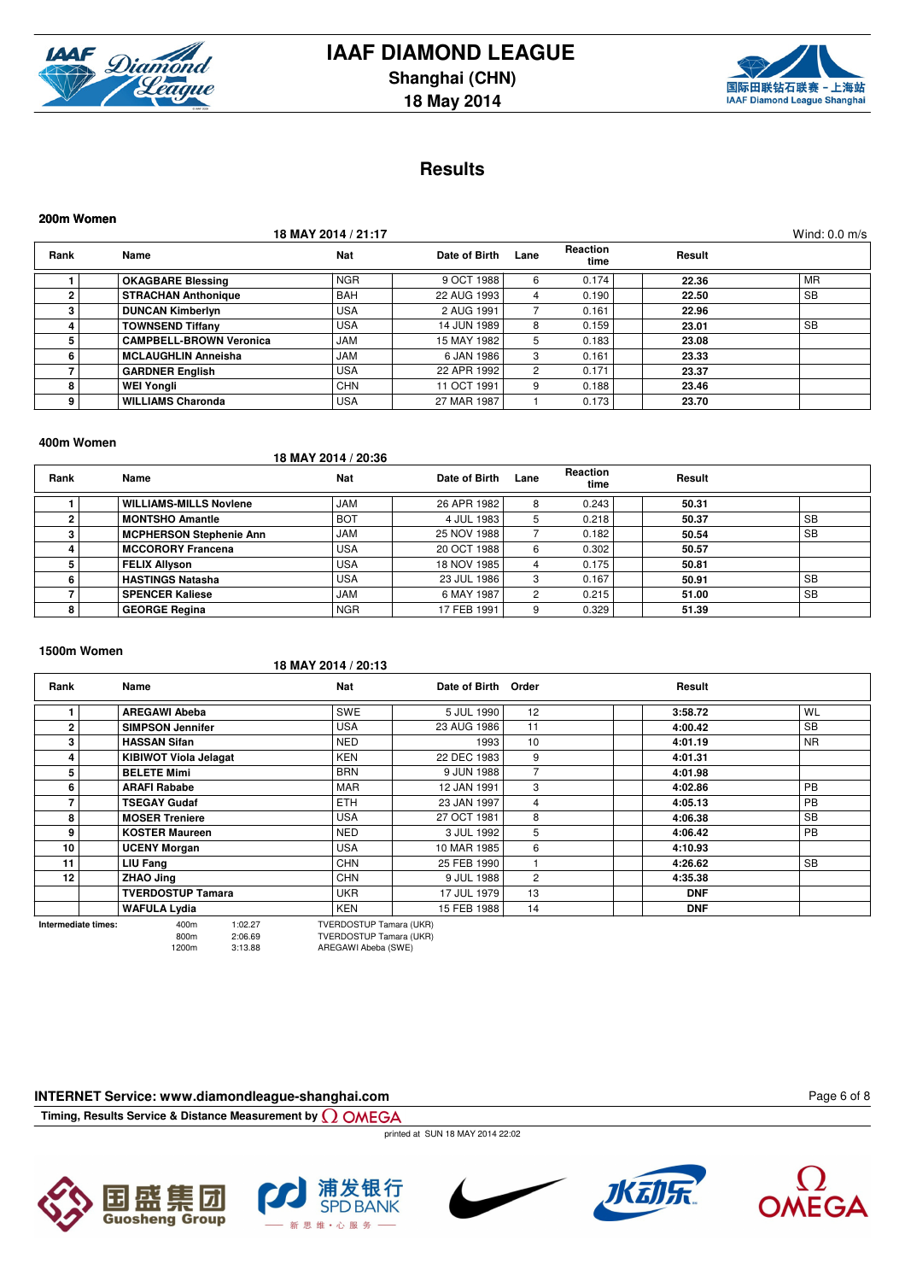



### **Results**

| 200m Women     |                                |                     |               |                      |                         |        |                 |
|----------------|--------------------------------|---------------------|---------------|----------------------|-------------------------|--------|-----------------|
|                |                                | 18 MAY 2014 / 21:17 |               |                      |                         |        | Wind: $0.0$ m/s |
| Rank           | Name                           | <b>Nat</b>          | Date of Birth | Lane                 | <b>Reaction</b><br>time | Result |                 |
|                | <b>OKAGBARE Blessing</b>       | <b>NGR</b>          | 9 OCT 1988    | 6                    | 0.174                   | 22.36  | <b>MR</b>       |
| $\overline{2}$ | <b>STRACHAN Anthonique</b>     | <b>BAH</b>          | 22 AUG 1993   | 4                    | 0.190                   | 22.50  | <b>SB</b>       |
| 3              | <b>DUNCAN Kimberlyn</b>        | <b>USA</b>          | 2 AUG 1991    |                      | 0.161                   | 22.96  |                 |
|                | <b>TOWNSEND Tiffany</b>        | <b>USA</b>          | 14 JUN 1989   | 8                    | 0.159                   | 23.01  | <b>SB</b>       |
| 5              | <b>CAMPBELL-BROWN Veronica</b> | <b>JAM</b>          | 15 MAY 1982   | 5.                   | 0.183                   | 23.08  |                 |
| 6              | <b>MCLAUGHLIN Anneisha</b>     | <b>JAM</b>          | 6 JAN 1986    | 3                    | 0.161                   | 23.33  |                 |
|                | <b>GARDNER English</b>         | <b>USA</b>          | 22 APR 1992   | $\mathbf{2}^{\circ}$ | 0.171                   | 23.37  |                 |
| 8              | <b>WEI Yongli</b>              | <b>CHN</b>          | 11 OCT 1991   | 9                    | 0.188                   | 23.46  |                 |
| 9              | <b>WILLIAMS Charonda</b>       | USA                 | 27 MAR 1987   |                      | 0.173                   | 23.70  |                 |

#### **400m Women**

### **18 MAY 2014 / 20:36**

| Rank | Name                           | Nat        | Date of Birth | Lane | <b>Reaction</b><br>time | Result |           |
|------|--------------------------------|------------|---------------|------|-------------------------|--------|-----------|
|      | <b>WILLIAMS-MILLS Noviene</b>  | <b>JAM</b> | 26 APR 1982   | 8    | 0.243                   | 50.31  |           |
|      | <b>MONTSHO Amantle</b>         | <b>BOT</b> | 4 JUL 1983    | 5    | 0.218                   | 50.37  | <b>SB</b> |
|      | <b>MCPHERSON Stephenie Ann</b> | <b>JAM</b> | 25 NOV 1988   |      | 0.182                   | 50.54  | <b>SB</b> |
|      | <b>MCCORORY Francena</b>       | <b>USA</b> | 20 OCT 1988   | 6    | 0.302                   | 50.57  |           |
|      | <b>FELIX Allyson</b>           | <b>USA</b> | 18 NOV 1985   | 4    | 0.175                   | 50.81  |           |
| 6    | <b>HASTINGS Natasha</b>        | <b>USA</b> | 23 JUL 1986   | 3    | 0.167                   | 50.91  | <b>SB</b> |
|      | <b>SPENCER Kaliese</b>         | <b>JAM</b> | 6 MAY 1987    | 2    | 0.215                   | 51.00  | <b>SB</b> |
| 8    | <b>GEORGE Regina</b>           | <b>NGR</b> | 17 FEB 1991   | 9    | 0.329                   | 51.39  |           |

### **1500m Women**

### **18 MAY 2014 / 20:13**

| Rank           | Name                         | <b>Nat</b> | Date of Birth Order |    | Result     |           |
|----------------|------------------------------|------------|---------------------|----|------------|-----------|
|                | <b>AREGAWI Abeba</b>         | SWE        | 5 JUL 1990          | 12 | 3:58.72    | WL        |
| $\overline{2}$ | <b>SIMPSON Jennifer</b>      | <b>USA</b> | 23 AUG 1986         | 11 | 4:00.42    | <b>SB</b> |
| 3              | <b>HASSAN Sifan</b>          | <b>NED</b> | 1993                | 10 | 4:01.19    | <b>NR</b> |
| 4              | <b>KIBIWOT Viola Jelagat</b> | <b>KEN</b> | 22 DEC 1983         | 9  | 4:01.31    |           |
| 5              | <b>BELETE Mimi</b>           | <b>BRN</b> | 9 JUN 1988          |    | 4:01.98    |           |
| 6              | <b>ARAFI Rababe</b>          | <b>MAR</b> | 12 JAN 1991         | 3  | 4:02.86    | <b>PB</b> |
|                | <b>TSEGAY Gudaf</b>          | <b>ETH</b> | 23 JAN 1997         | 4  | 4:05.13    | PB        |
| 8              | <b>MOSER Treniere</b>        | <b>USA</b> | 27 OCT 1981         | 8  | 4:06.38    | <b>SB</b> |
| 9              | <b>KOSTER Maureen</b>        | <b>NED</b> | 3 JUL 1992          | 5  | 4:06.42    | <b>PB</b> |
| 10             | <b>UCENY Morgan</b>          | <b>USA</b> | 10 MAR 1985         | 6  | 4:10.93    |           |
| 11             | <b>LIU Fang</b>              | <b>CHN</b> | 25 FEB 1990         |    | 4:26.62    | <b>SB</b> |
| 12             | <b>ZHAO Jing</b>             | <b>CHN</b> | 9 JUL 1988          | 2  | 4:35.38    |           |
|                | <b>TVERDOSTUP Tamara</b>     | <b>UKR</b> | 17 JUL 1979         | 13 | <b>DNF</b> |           |
|                | <b>WAFULA Lydia</b>          | <b>KEN</b> | 15 FEB 1988         | 14 | <b>DNF</b> |           |

**Intermediate times:** 400m  $1:02.27$  TVERDOSTUP Tamara (UKR)<br> $400m$   $2:06.69$  TVERDOSTUP Tamara (UKR) 800m 2:06.69 TVERDOSTUP Tamara (UKR)

AREGAWI Abeba (SWE)

### **INTERNET Service: www.diamondleague-shanghai.com**

**Timing, Results Service & Distance Measurement by**

printed at SUN 18 MAY 2014 22:02











Page 6 of 8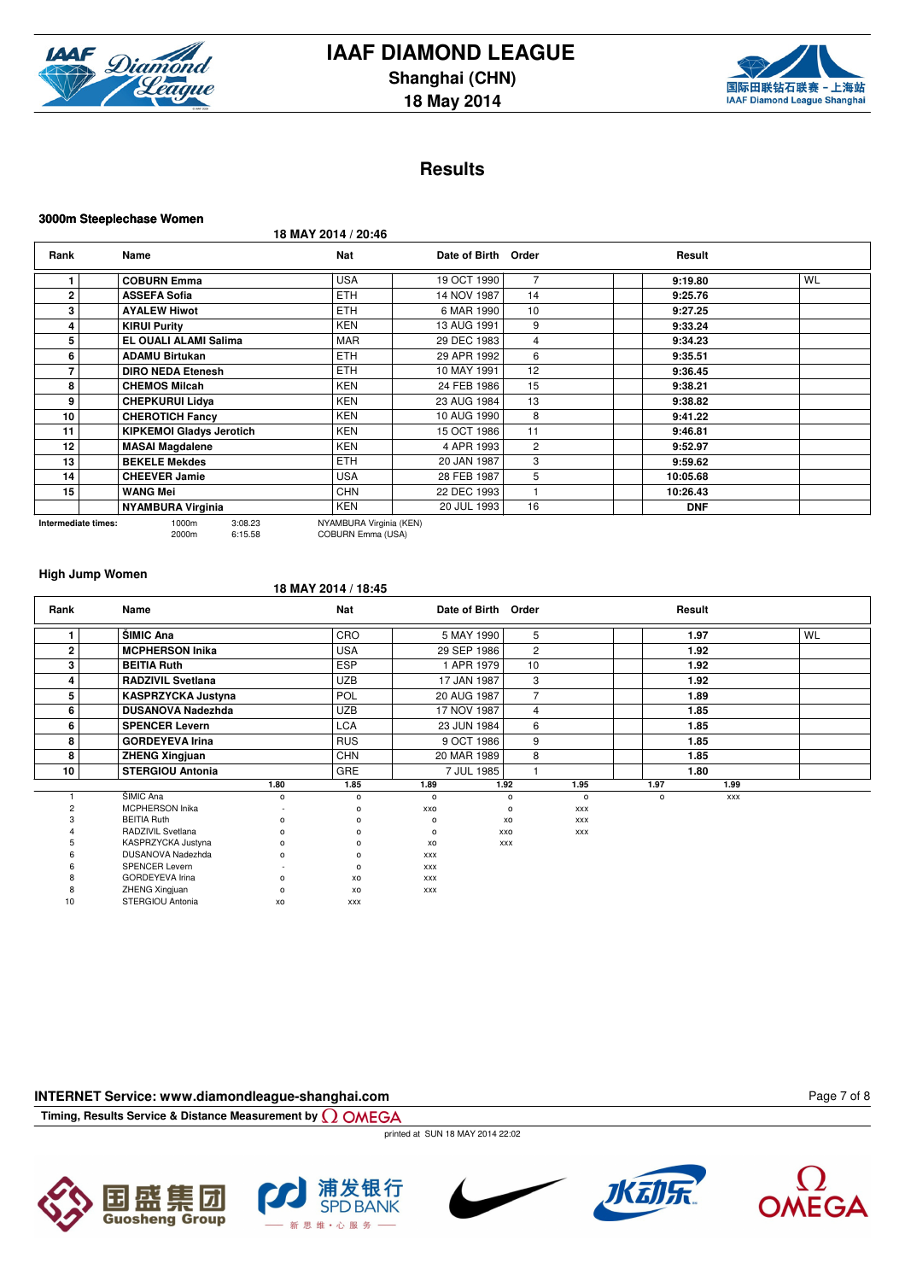



### **Results**

#### **3000m Steeplechase Women**

**18 MAY 2014 / 20:46**

| Rank                | Name                                 | <b>Nat</b>                                   | Date of Birth Order |                | Result     |           |
|---------------------|--------------------------------------|----------------------------------------------|---------------------|----------------|------------|-----------|
|                     | <b>COBURN Emma</b>                   | <b>USA</b>                                   | 19 OCT 1990         | $\overline{7}$ | 9:19.80    | <b>WL</b> |
| $\mathbf{2}$        | <b>ASSEFA Sofia</b>                  | <b>ETH</b>                                   | 14 NOV 1987         | 14             | 9:25.76    |           |
| 3                   | <b>AYALEW Hiwot</b>                  | <b>ETH</b>                                   | 6 MAR 1990          | 10             | 9:27.25    |           |
| 4                   | <b>KIRUI Purity</b>                  | <b>KEN</b>                                   | 13 AUG 1991         | 9              | 9:33.24    |           |
| 5                   | EL OUALI ALAMI Salima                | <b>MAR</b>                                   | 29 DEC 1983         | $\overline{4}$ | 9:34.23    |           |
| 6                   | <b>ADAMU Birtukan</b>                | <b>ETH</b>                                   | 29 APR 1992         | 6              | 9:35.51    |           |
|                     | <b>DIRO NEDA Etenesh</b>             | <b>ETH</b>                                   | 10 MAY 1991         | 12             | 9:36.45    |           |
| 8                   | <b>CHEMOS Milcah</b>                 | <b>KEN</b>                                   | 24 FEB 1986         | 15             | 9:38.21    |           |
| 9                   | <b>CHEPKURUI Lidva</b>               | <b>KEN</b>                                   | 23 AUG 1984         | 13             | 9:38.82    |           |
| 10                  | <b>CHEROTICH Fancy</b>               | <b>KEN</b>                                   | 10 AUG 1990         | 8              | 9:41.22    |           |
| 11                  | <b>KIPKEMOI Gladys Jerotich</b>      | <b>KEN</b>                                   | 15 OCT 1986         | 11             | 9:46.81    |           |
| 12                  | <b>MASAI Magdalene</b>               | <b>KEN</b>                                   | 4 APR 1993          | $\overline{2}$ | 9:52.97    |           |
| 13                  | <b>BEKELE Mekdes</b>                 | <b>ETH</b>                                   | 20 JAN 1987         | 3              | 9:59.62    |           |
| 14                  | <b>CHEEVER Jamie</b>                 | USA                                          | 28 FEB 1987         | 5              | 10:05.68   |           |
| 15                  | WANG Mei                             | <b>CHN</b>                                   | 22 DEC 1993         |                | 10:26.43   |           |
|                     | <b>NYAMBURA Virginia</b>             | <b>KEN</b>                                   | 20 JUL 1993         | 16             | <b>DNF</b> |           |
| Intermediate times: | 1000m<br>3:08.23<br>2000m<br>6:15.58 | NYAMBURA Virginia (KEN)<br>COBURN Emma (USA) |                     |                |            |           |

COBURN Emma (USA)

**High Jump Women**

### **18 MAY 2014 / 18:45**

| Rank        | Name                      |          | <b>Nat</b> | Date of Birth Order |            |                |            |         | Result     |    |
|-------------|---------------------------|----------|------------|---------------------|------------|----------------|------------|---------|------------|----|
|             | ŠIMIC Ana                 |          | CRO        | 5 MAY 1990          |            | 5              |            |         | 1.97       | WL |
| $\mathbf 2$ | <b>MCPHERSON Inika</b>    |          | <b>USA</b> | 29 SEP 1986         |            | $\overline{2}$ |            |         | 1.92       |    |
| 3           | <b>BEITIA Ruth</b>        |          | <b>ESP</b> | 1 APR 1979          |            | 10             |            |         | 1.92       |    |
| 4           | <b>RADZIVIL Svetlana</b>  |          | <b>UZB</b> | 17 JAN 1987         |            | 3              |            |         | 1.92       |    |
| 5           | <b>KASPRZYCKA Justyna</b> |          | POL        | 20 AUG 1987         |            | 7              |            |         | 1.89       |    |
| 6           | <b>DUSANOVA Nadezhda</b>  |          | <b>UZB</b> | 17 NOV 1987         |            | 4              |            |         | 1.85       |    |
| 6           | <b>SPENCER Levern</b>     |          | <b>LCA</b> | 23 JUN 1984         |            | 6              |            |         | 1.85       |    |
| 8           | <b>GORDEYEVA Irina</b>    |          | <b>RUS</b> | 9 OCT 1986          |            | 9              |            |         | 1.85       |    |
| 8           | <b>ZHENG Xingjuan</b>     |          | <b>CHN</b> | 20 MAR 1989         |            | 8              |            |         | 1.85       |    |
| 10          | <b>STERGIOU Antonia</b>   |          | <b>GRE</b> | 7 JUL 1985          |            |                |            |         | 1.80       |    |
|             |                           | 1.80     | 1.85       | 1.89                | 1.92       |                | 1.95       | 1.97    | 1.99       |    |
|             | ŠIMIC Ana                 | o        | $\circ$    | $\circ$             | $\circ$    |                | $\circ$    | $\circ$ | <b>XXX</b> |    |
|             | <b>MCPHERSON Inika</b>    |          | C          | XXO                 | $\circ$    |                | XXX        |         |            |    |
|             | <b>BEITIA Ruth</b>        | 0        | o          | $\circ$             | XO         |                | XXX        |         |            |    |
|             | RADZIVIL Svetlana         | $\Omega$ | $\Omega$   | $\circ$             | <b>XXO</b> |                | <b>XXX</b> |         |            |    |
|             | KASPRZYCKA Justyna        | $\Omega$ | o          | XO                  | <b>XXX</b> |                |            |         |            |    |
|             | DUSANOVA Nadezhda         | 0        | $\Omega$   | <b>XXX</b>          |            |                |            |         |            |    |
|             | <b>SPENCER Levern</b>     |          | $\circ$    | <b>XXX</b>          |            |                |            |         |            |    |
|             | <b>GORDEYEVA Irina</b>    | $\Omega$ | XO         | <b>XXX</b>          |            |                |            |         |            |    |
|             | ZHENG Xingjuan            | $\Omega$ | XO         | <b>XXX</b>          |            |                |            |         |            |    |
| 10          | STERGIOU Antonia          | XO       | <b>XXX</b> |                     |            |                |            |         |            |    |

### **INTERNET Service: www.diamondleague-shanghai.com**

**Timing, Results Service & Distance Measurement by**

printed at SUN 18 MAY 2014 22:02











Page 7 of 8